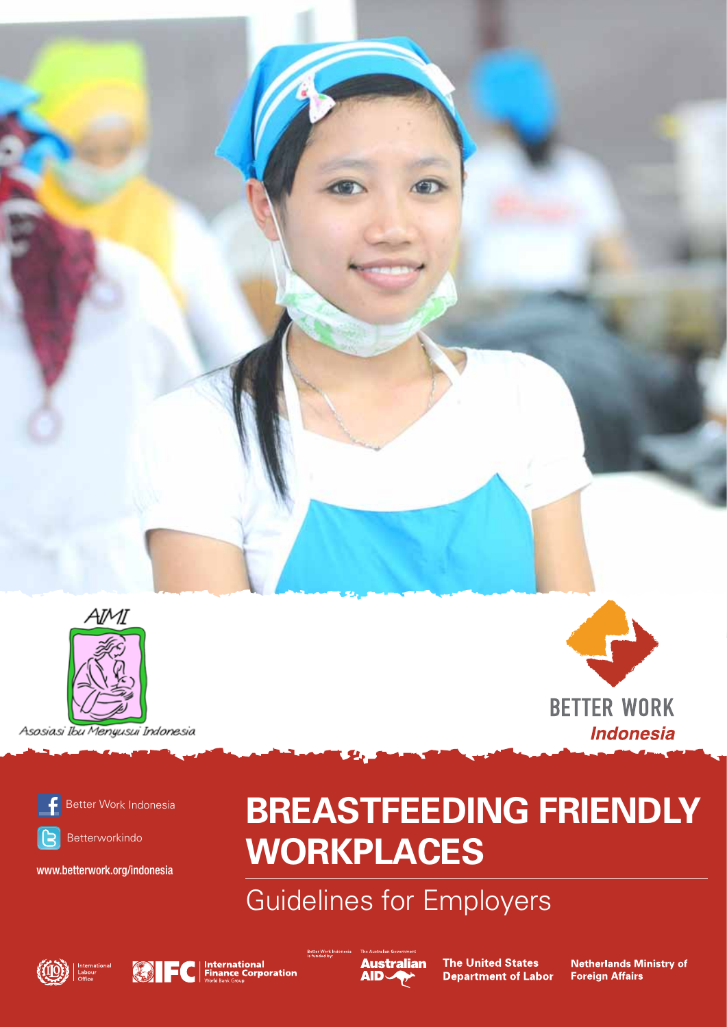



Asosiasi Ibu Menyusui Indonesia



Better Work Indonesia



Betterworkindo

www.betterwork.org/indonesia

# **BREASTFEEDING FRIENDLY WORKPLACES**

Guidelines for Employers





a

**International<br>Finance Corporation** 



**The United States Department of Labor** 

**Netherlands Ministry of Foreign Affairs** 

**BETTER WORK** 

**Indonesia**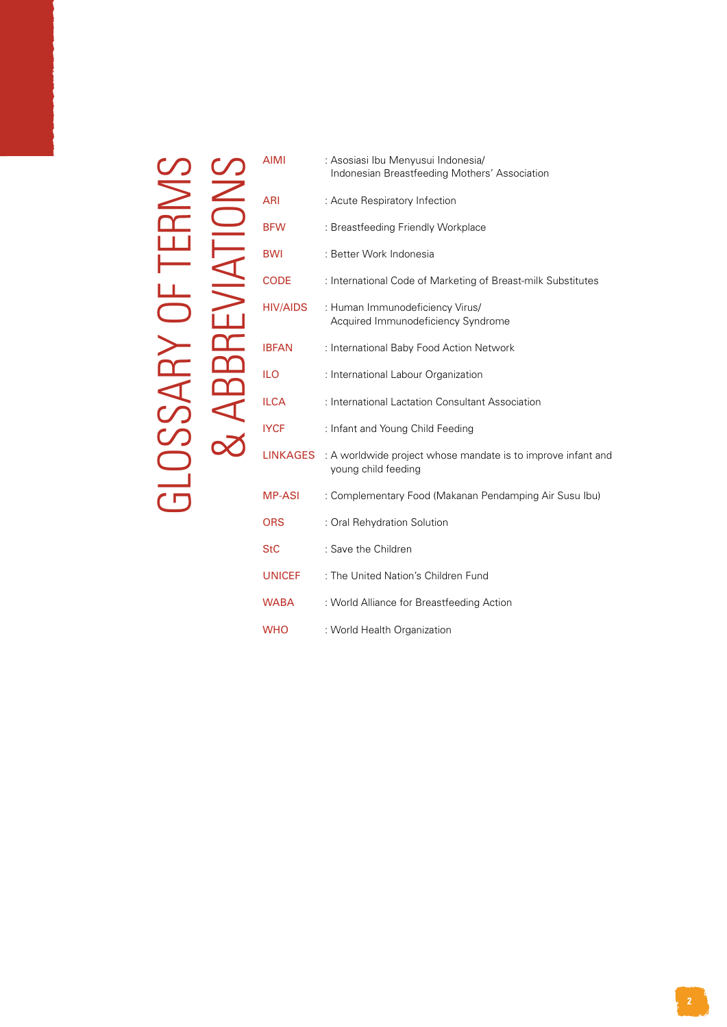# GLOSSARY OF TERMS GLOSSARY OF TERMS<br>& ABBREVIATIONS & ABBREVIATIONS

| : Asosiasi Ibu Menyusui Indonesia/<br>Indonesian Breastfeeding Mothers' Association          |
|----------------------------------------------------------------------------------------------|
| : Acute Respiratory Infection                                                                |
| : Breastfeeding Friendly Workplace                                                           |
| : Better Work Indonesia                                                                      |
| : International Code of Marketing of Breast-milk Substitutes                                 |
| : Human Immunodeficiency Virus/<br>Acquired Immunodeficiency Syndrome                        |
| : International Baby Food Action Network                                                     |
| : International Labour Organization                                                          |
| : International Lactation Consultant Association                                             |
| : Infant and Young Child Feeding                                                             |
| LINKAGES : A worldwide project whose mandate is to improve infant and<br>young child feeding |
| : Complementary Food (Makanan Pendamping Air Susu Ibu)                                       |
| : Oral Rehydration Solution                                                                  |
| : Save the Children                                                                          |
| : The United Nation's Children Fund                                                          |
| : World Alliance for Breastfeeding Action                                                    |
| : World Health Organization                                                                  |
|                                                                                              |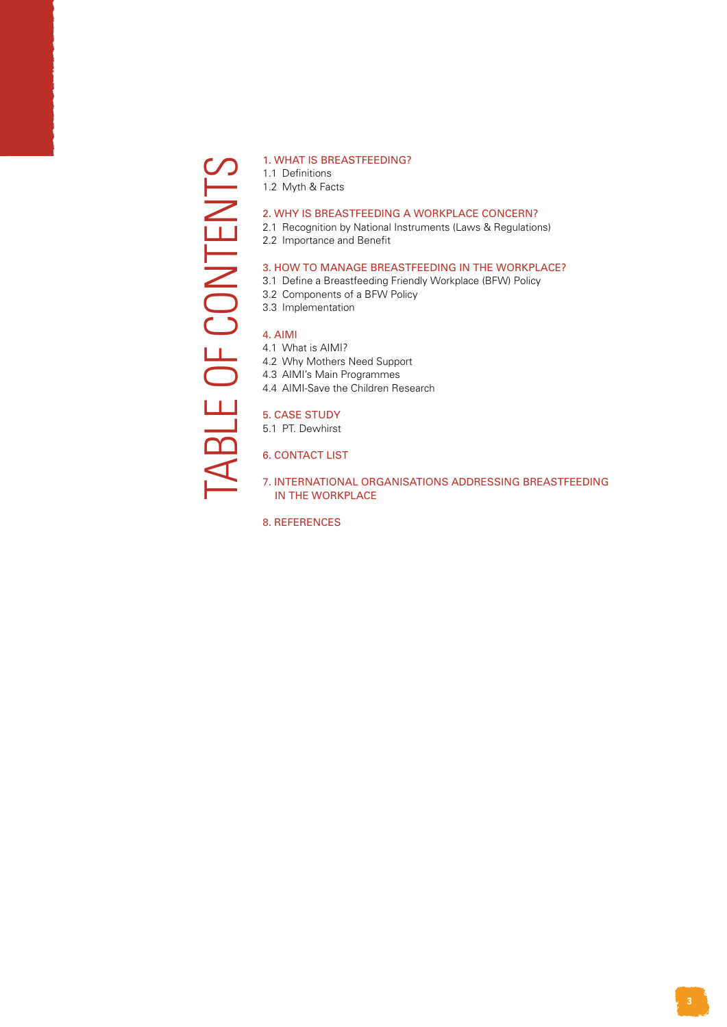# TABLE OF CONTENTS TABLE OF CONTENTS

#### 1. WHAT IS BREASTFEEDING?

- 1.1 Definitions
- 1.2 Myth & Facts

#### 2. WHY IS BREASTFEEDING A WORKPLACE CONCERN?

- 2.1 Recognition by National Instruments (Laws & Regulations)
	- 2.2 Importance and Benefit

#### 3. HOW TO MANAGE BREASTFEEDING IN THE WORKPLACE?

- 3.1 Define a Breastfeeding Friendly Workplace (BFW) Policy
- 3.2 Components of a BFW Policy
- 3.3 Implementation

#### 4. AIMI

- 4.1 What is AIMI?
- 4.2 Why Mothers Need Support
- 4.3 AIMI's Main Programmes
- 4.4 AIMI-Save the Children Research

#### 5. CASE STUDY

5.1 PT. Dewhirst

#### 6. CONTACT LIST

- 7. INTERNATIONAL ORGANISATIONS ADDRESSING BREASTFEEDING IN THE WORKPLACE
- 8. REFERENCES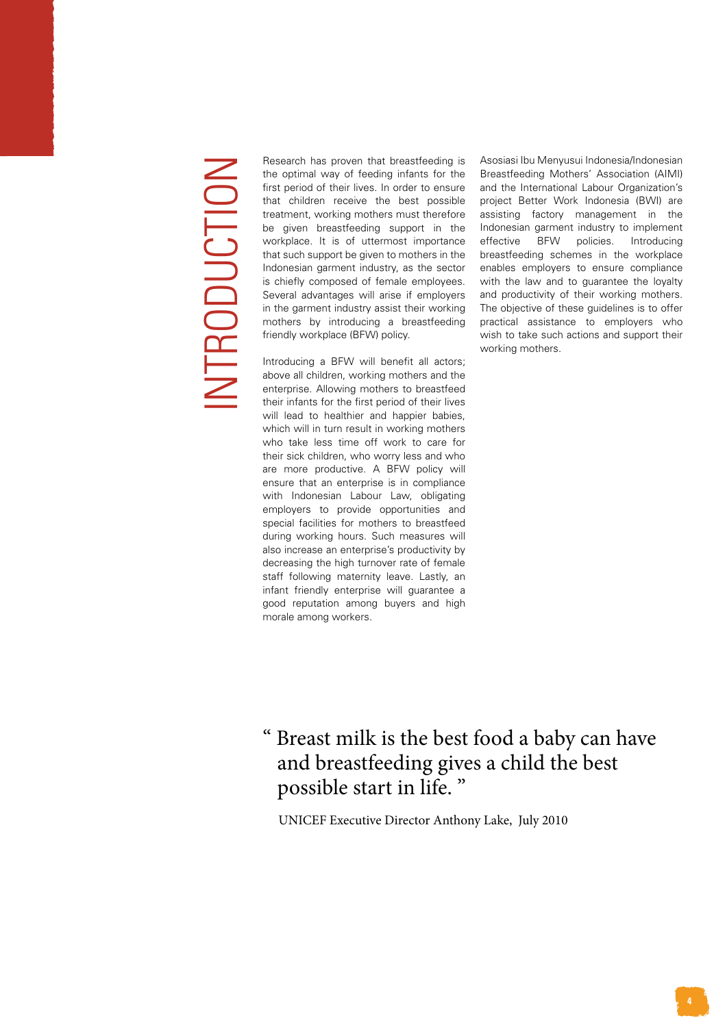# INTRODUCTION NTRODUCTION

Research has proven that breastfeeding is the optimal way of feeding infants for the first period of their lives. In order to ensure that children receive the best possible treatment, working mothers must therefore be given breastfeeding support in the workplace. It is of uttermost importance that such support be given to mothers in the Indonesian garment industry, as the sector is chiefly composed of female employees. Several advantages will arise if employers in the garment industry assist their working mothers by introducing a breastfeeding friendly workplace (BFW) policy.

Introducing a BFW will benefit all actors; above all children, working mothers and the enterprise. Allowing mothers to breastfeed their infants for the first period of their lives will lead to healthier and happier babies. which will in turn result in working mothers who take less time off work to care for their sick children, who worry less and who are more productive. A BFW policy will ensure that an enterprise is in compliance with Indonesian Labour Law, obligating employers to provide opportunities and special facilities for mothers to breastfeed during working hours. Such measures will also increase an enterprise's productivity by decreasing the high turnover rate of female staff following maternity leave. Lastly, an infant friendly enterprise will guarantee a good reputation among buyers and high morale among workers.

Asosiasi Ibu Menyusui Indonesia/Indonesian Breastfeeding Mothers' Association (AIMI) and the International Labour Organization's project Better Work Indonesia (BWI) are assisting factory management in the Indonesian garment industry to implement effective BFW policies. Introducing breastfeeding schemes in the workplace enables employers to ensure compliance with the law and to guarantee the loyalty and productivity of their working mothers. The objective of these guidelines is to offer practical assistance to employers who wish to take such actions and support their working mothers.

#### " Breast milk is the best food a baby can have and breastfeeding gives a child the best possible start in life. "

UNICEF Executive Director Anthony Lake, July 2010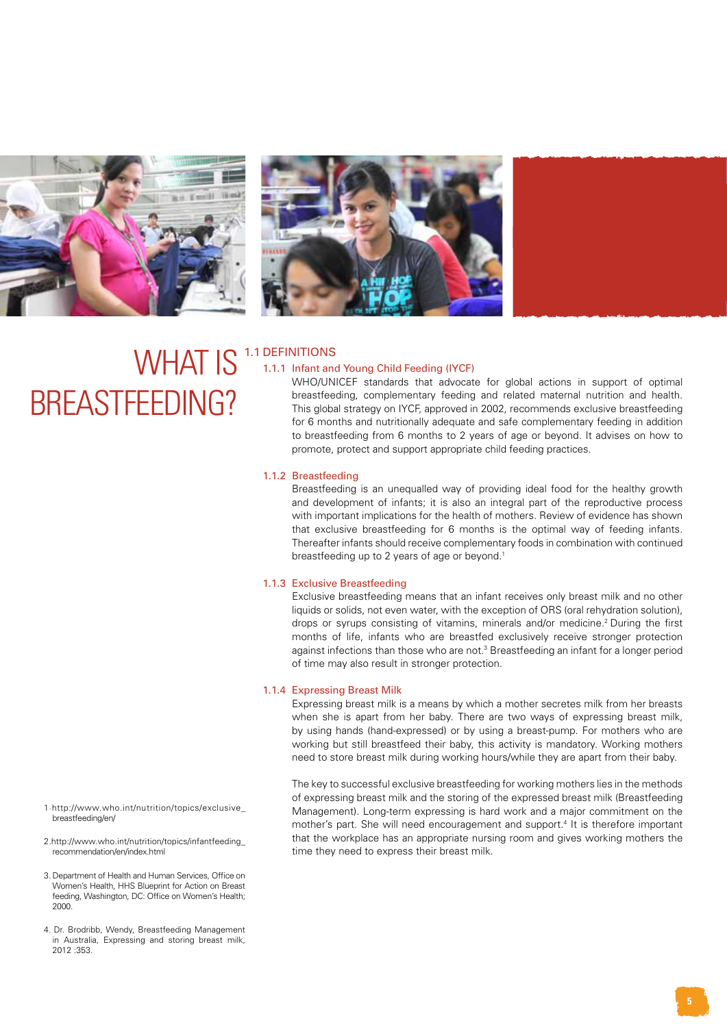



## WHAT IS 1.1 DEFINITIONS<br>
MHAT IS 1.1.1 Infant and Young Child Feeding (IYCF) BREASTFEEDING?

WHO/UNICEF standards that advocate for global actions in support of optimal breastfeeding, complementary feeding and related maternal nutrition and health. This global strategy on IYCF, approved in 2002, recommends exclusive breastfeeding for 6 months and nutritionally adequate and safe complementary feeding in addition to breastfeeding from 6 months to 2 years of age or beyond. It advises on how to promote, protect and support appropriate child feeding practices.

#### 1.1.2 Breastfeeding

DEFINITIONS

Breastfeeding is an unequalled way of providing ideal food for the healthy growth and development of infants; it is also an integral part of the reproductive process with important implications for the health of mothers. Review of evidence has shown that exclusive breastfeeding for 6 months is the optimal way of feeding infants. Thereafter infants should receive complementary foods in combination with continued breastfeeding up to 2 years of age or beyond.<sup>1</sup>

#### 1.1.3 Exclusive Breastfeeding

Exclusive breastfeeding means that an infant receives only breast milk and no other liquids or solids, not even water, with the exception of ORS (oral rehydration solution), drops or syrups consisting of vitamins, minerals and/or medicine.2 During the first months of life, infants who are breastfed exclusively receive stronger protection against infections than those who are not.<sup>3</sup> Breastfeeding an infant for a longer period of time may also result in stronger protection.

#### 1.1.4 Expressing Breast Milk

Expressing breast milk is a means by which a mother secretes milk from her breasts when she is apart from her baby. There are two ways of expressing breast milk, by using hands (hand-expressed) or by using a breast-pump. For mothers who are working but still breastfeed their baby, this activity is mandatory. Working mothers need to store breast milk during working hours/while they are apart from their baby.

The key to successful exclusive breastfeeding for working mothers lies in the methods of expressing breast milk and the storing of the expressed breast milk (Breastfeeding Management). Long-term expressing is hard work and a major commitment on the mother's part. She will need encouragement and support.<sup>4</sup> It is therefore important that the workplace has an appropriate nursing room and gives working mothers the time they need to express their breast milk.

- 1.http://www.who.int/nutrition/topics/exclusive\_ breastfeeding/en/
- 2.http://www.who.int/nutrition/topics/infantfeeding\_ recommendation/en/index.html
- 3. Department of Health and Human Services, Office on Women's Health, HHS Blueprint for Action on Breast feeding, Washington, DC: Office on Women's Health; 2000.
- 4. Dr. Brodribb, Wendy, Breastfeeding Management in Australia, Expressing and storing breast milk, 2012 :353.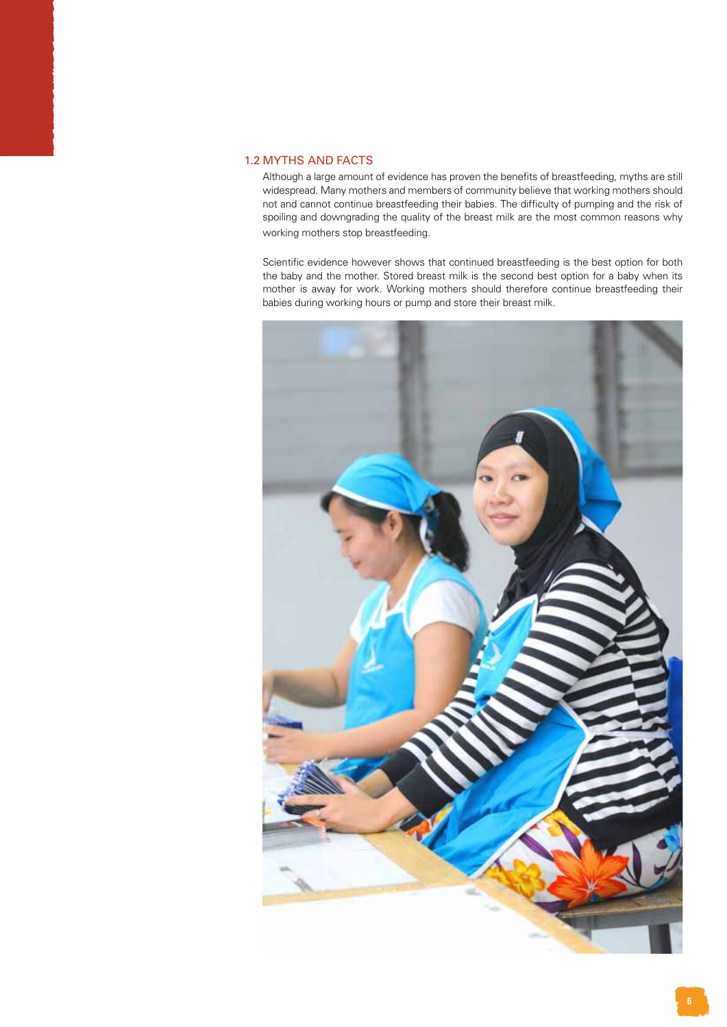#### 1.2 MYTHS AND FACTS

Although a large amount of evidence has proven the benefits of breastfeeding, myths are still widespread. Many mothers and members of community believe that working mothers should not and cannot continue breastfeeding their babies. The difficulty of pumping and the risk of spoiling and downgrading the quality of the breast milk are the most common reasons why working mothers stop breastfeeding.

Scientific evidence however shows that continued breastfeeding is the best option for both the baby and the mother. Stored breast milk is the second best option for a baby when its mother is away for work. Working mothers should therefore continue breastfeeding their babies during working hours or pump and store their breast milk.

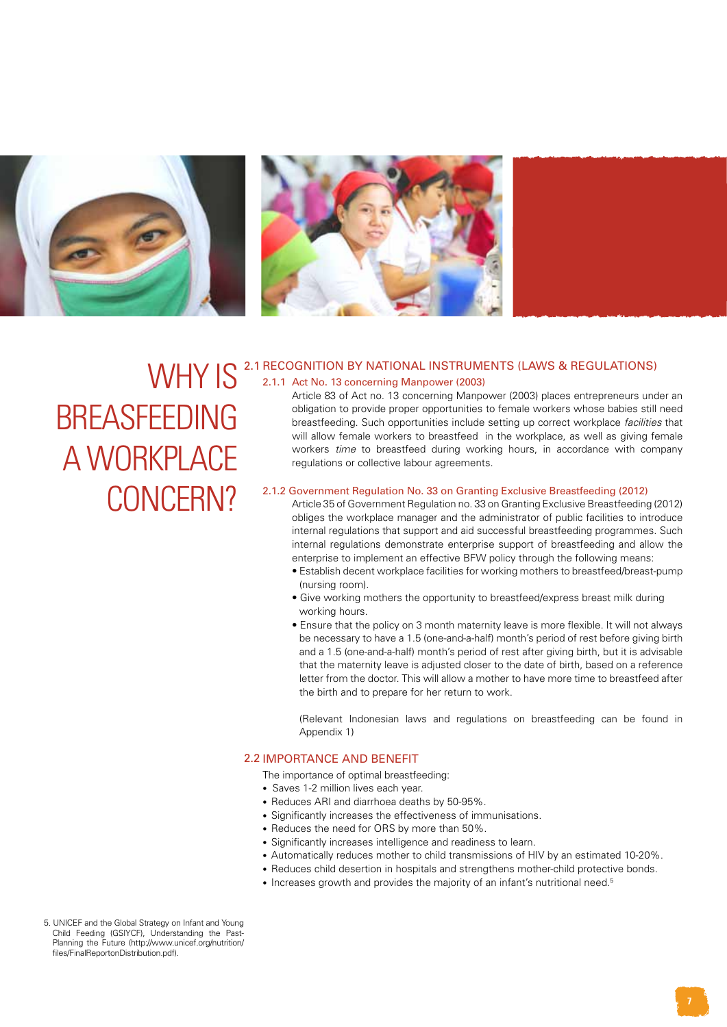



#### $W$  $W$  $N$   $S$ <sup>2.1 RECOGNITION BY NATIONAL INSTRUMENTS (LAWS & REGULATIONS)</sup> 2.1

BREASFEEDING A WORKPLACE CONCERN?

#### 2.1.1 Act No. 13 concerning Manpower (2003)

Article 83 of Act no. 13 concerning Manpower (2003) places entrepreneurs under an obligation to provide proper opportunities to female workers whose babies still need breastfeeding. Such opportunities include setting up correct workplace *facilities* that will allow female workers to breastfeed in the workplace, as well as giving female workers *time* to breastfeed during working hours, in accordance with company regulations or collective labour agreements.

#### 2.1.2 Government Regulation No. 33 on Granting Exclusive Breastfeeding (2012)

Article 35 of Government Regulation no. 33 on Granting Exclusive Breastfeeding (2012) obliges the workplace manager and the administrator of public facilities to introduce internal regulations that support and aid successful breastfeeding programmes. Such internal regulations demonstrate enterprise support of breastfeeding and allow the enterprise to implement an effective BFW policy through the following means:

- Establish decent workplace facilities for working mothers to breastfeed/breast-pump (nursing room).
- Give working mothers the opportunity to breastfeed/express breast milk during working hours.
- Ensure that the policy on 3 month maternity leave is more flexible. It will not always be necessary to have a 1.5 (one-and-a-half) month's period of rest before giving birth and a 1.5 (one-and-a-half) month's period of rest after giving birth, but it is advisable that the maternity leave is adjusted closer to the date of birth, based on a reference letter from the doctor. This will allow a mother to have more time to breastfeed after the birth and to prepare for her return to work.

 (Relevant Indonesian laws and regulations on breastfeeding can be found in Appendix 1)

#### 2.2 IMPORTANCE AND BENEFIT

The importance of optimal breastfeeding:

- Saves 1-2 million lives each year.
- Reduces ARI and diarrhoea deaths by 50-95%.
- Significantly increases the effectiveness of immunisations.
- Reduces the need for ORS by more than 50%.
- Significantly increases intelligence and readiness to learn.
- Automatically reduces mother to child transmissions of HIV by an estimated 10-20%.
- Reduces child desertion in hospitals and strengthens mother-child protective bonds.
- Increases growth and provides the majority of an infant's nutritional need.<sup>5</sup>

5. UNICEF and the Global Strategy on Infant and Young Child Feeding (GSIYCF), Understanding the Past-Planning the Future (http://www.unicef.org/nutrition/ files/FinalReportonDistribution.pdf).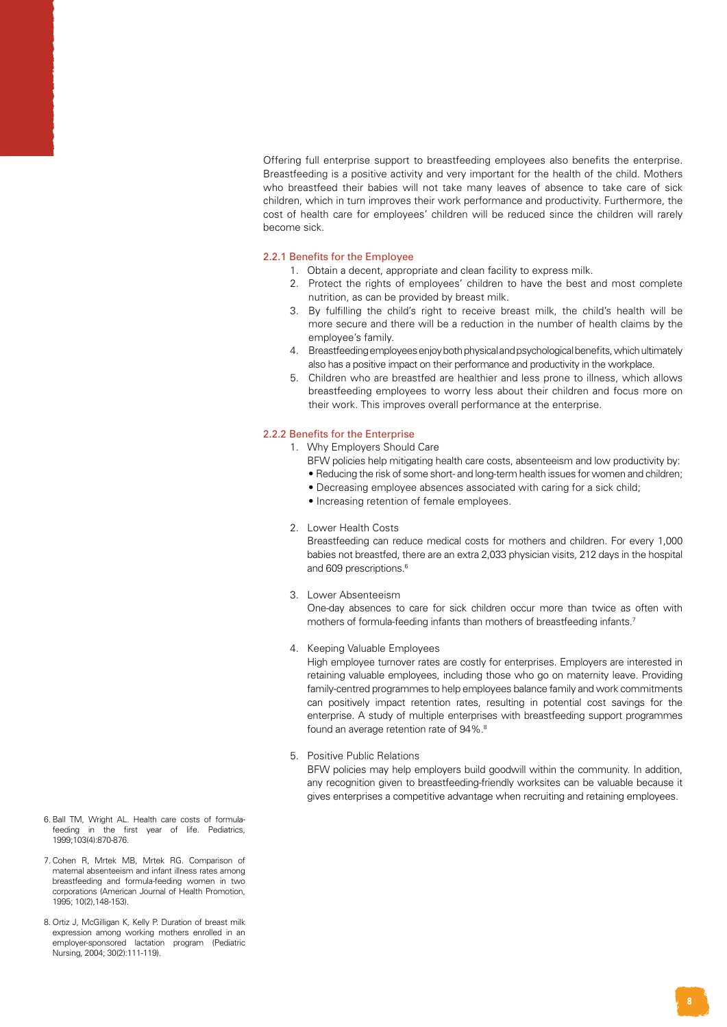Offering full enterprise support to breastfeeding employees also benefits the enterprise. Breastfeeding is a positive activity and very important for the health of the child. Mothers who breastfeed their babies will not take many leaves of absence to take care of sick children, which in turn improves their work performance and productivity. Furthermore, the cost of health care for employees' children will be reduced since the children will rarely become sick.

#### 2.2.1 Benefits for the Employee

- 1. Obtain a decent, appropriate and clean facility to express milk.
- 2. Protect the rights of employees' children to have the best and most complete nutrition, as can be provided by breast milk.
- 3. By fulfilling the child's right to receive breast milk, the child's health will be more secure and there will be a reduction in the number of health claims by the employee's family.
- 4. Breastfeeding employees enjoy both physical and psychological benefits, which ultimately also has a positive impact on their performance and productivity in the workplace.
- 5. Children who are breastfed are healthier and less prone to illness, which allows breastfeeding employees to worry less about their children and focus more on their work. This improves overall performance at the enterprise.

#### 2.2.2 Benefits for the Enterprise

- 1. Why Employers Should Care
	- BFW policies help mitigating health care costs, absenteeism and low productivity by:
	- Reducing the risk of some short- and long-term health issues for women and children;
	- Decreasing employee absences associated with caring for a sick child;
	- Increasing retention of female employees.

#### 2. Lower Health Costs

Breastfeeding can reduce medical costs for mothers and children. For every 1,000 babies not breastfed, there are an extra 2,033 physician visits, 212 days in the hospital and 609 prescriptions.<sup>6</sup>

#### 3. Lower Absenteeism

One-day absences to care for sick children occur more than twice as often with mothers of formula-feeding infants than mothers of breastfeeding infants.<sup>7</sup>

4. Keeping Valuable Employees

High employee turnover rates are costly for enterprises. Employers are interested in retaining valuable employees, including those who go on maternity leave. Providing family-centred programmes to help employees balance family and work commitments can positively impact retention rates, resulting in potential cost savings for the enterprise. A study of multiple enterprises with breastfeeding support programmes found an average retention rate of 94%.<sup>8</sup>

5. Positive Public Relations

BFW policies may help employers build goodwill within the community. In addition, any recognition given to breastfeeding-friendly worksites can be valuable because it gives enterprises a competitive advantage when recruiting and retaining employees.

- 6. Ball TM, Wright AL. Health care costs of formulafeeding in the first year of life. Pediatrics, 1999;103(4):870-876.
- 7. Cohen R, Mrtek MB, Mrtek RG. Comparison of maternal absenteeism and infant illness rates among breastfeeding and formula-feeding women in two corporations (American Journal of Health Promotion,  $1995: 10(2)$ ,  $148-153$
- 8. Ortiz J, McGilligan K, Kelly P. Duration of breast milk expression among working mothers enrolled in an employer-sponsored lactation program (Pediatric Nursing, 2004; 30(2):111-119).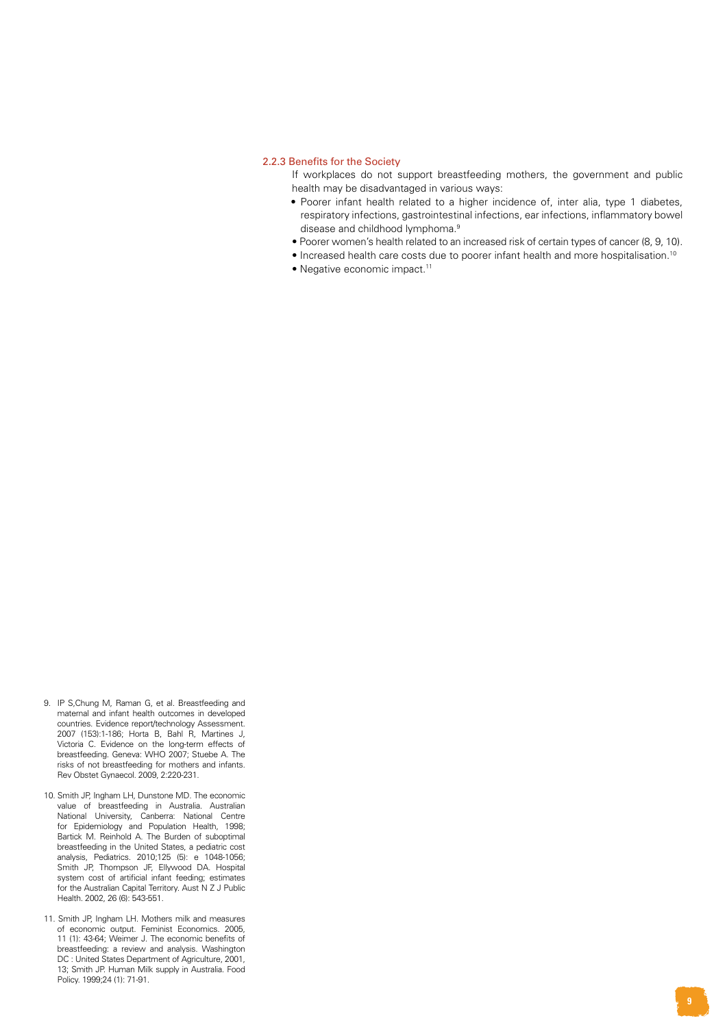#### 2.2.3 Benefits for the Society

If workplaces do not support breastfeeding mothers, the government and public health may be disadvantaged in various ways:

- Poorer infant health related to a higher incidence of, inter alia, type 1 diabetes, respiratory infections, gastrointestinal infections, ear infections, inflammatory bowel disease and childhood lymphoma.9
- Poorer women's health related to an increased risk of certain types of cancer (8, 9, 10).
- Increased health care costs due to poorer infant health and more hospitalisation.<sup>10</sup>
- Negative economic impact.<sup>11</sup>

- 9. IP S,Chung M, Raman G, et al. Breastfeeding and maternal and infant health outcomes in developed countries. Evidence report/technology Assessment. 2007 (153):1-186; Horta B, Bahl R, Martines J, Victoria C. Evidence on the long-term effects of breastfeeding. Geneva: WHO 2007; Stuebe A. The risks of not breastfeeding for mothers and infants. Rev Obstet Gynaecol. 2009, 2:220-231.
- 10. Smith JP, Ingham LH, Dunstone MD. The economic value of breastfeeding in Australia. Australian National University, Canberra: National Centre for Epidemiology and Population Health, 1998; Bartick M. Reinhold A. The Burden of suboptimal breastfeeding in the United States, a pediatric cost analysis, Pediatrics. 2010;125 (5): e 1048-1056; Smith JP, Thompson JF, Ellywood DA. Hospital system cost of artificial infant feeding; estimates for the Australian Capital Territory. Aust N Z J Public Health. 2002, 26 (6): 543-551.
- 11. Smith JP, Ingham LH. Mothers milk and measures of economic output. Feminist Economics. 2005, 11 (1): 43-64; Weimer J. The economic benefits of breastfeeding: a review and analysis. Washington DC : United States Department of Agriculture, 2001, 13; Smith JP. Human Milk supply in Australia. Food Policy. 1999;24 (1): 71-91.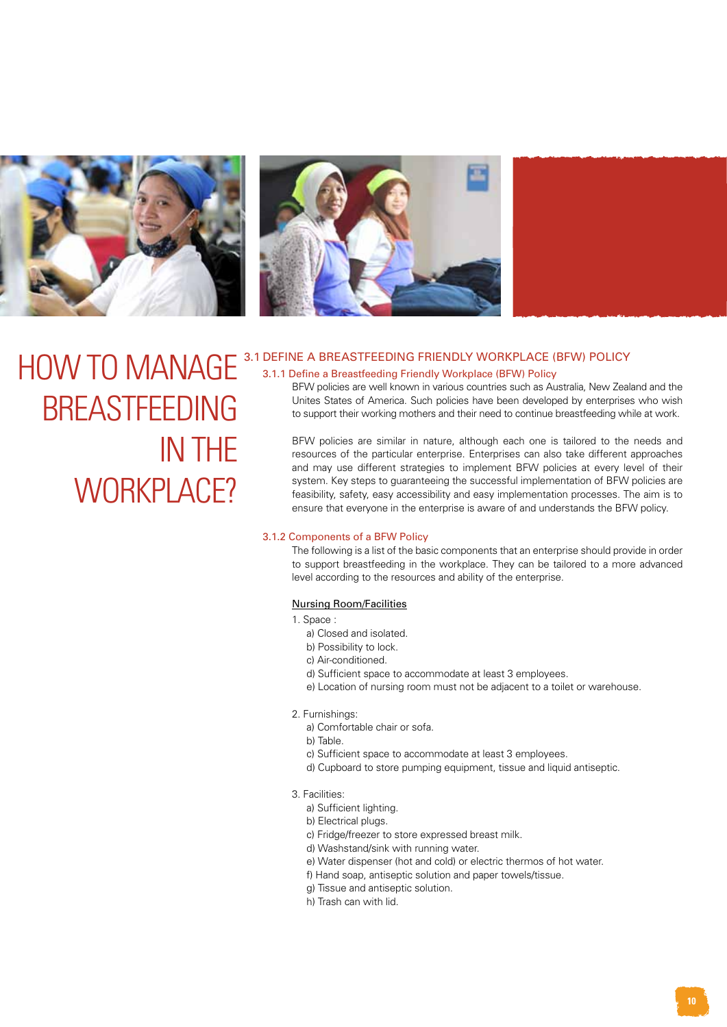



## HOW TO MANAGE 3.1 DEFINE A BREASTFEEDING FRIENDLY WORKPLACE (BFW) POLICY<br>
2.1.1 Define a Breastfeeding Friendly Workplace (BFW) Policy<br>
PEW policies are used inquiring every investigate and her Australia Naw Zeal BREASTFEEDING IN THE WORKPLACE?

#### 3.1

#### 3.1.1 Define a Breastfeeding Friendly Workplace (BFW) Policy

BFW policies are well known in various countries such as Australia, New Zealand and the Unites States of America. Such policies have been developed by enterprises who wish to support their working mothers and their need to continue breastfeeding while at work.

BFW policies are similar in nature, although each one is tailored to the needs and resources of the particular enterprise. Enterprises can also take different approaches and may use different strategies to implement BFW policies at every level of their system. Key steps to guaranteeing the successful implementation of BFW policies are feasibility, safety, easy accessibility and easy implementation processes. The aim is to ensure that everyone in the enterprise is aware of and understands the BFW policy.

#### 3.1.2 Components of a BFW Policy

The following is a list of the basic components that an enterprise should provide in order to support breastfeeding in the workplace. They can be tailored to a more advanced level according to the resources and ability of the enterprise.

#### Nursing Room/Facilities

- 1. Space :
	- a) Closed and isolated.
	- b) Possibility to lock.
	- c) Air-conditioned.
	- d) Sufficient space to accommodate at least 3 employees.
	- e) Location of nursing room must not be adjacent to a toilet or warehouse.

#### 2. Furnishings:

- a) Comfortable chair or sofa.
- b) Table.
- c) Sufficient space to accommodate at least 3 employees.
- d) Cupboard to store pumping equipment, tissue and liquid antiseptic.
- 3. Facilities:
	- a) Sufficient lighting.
	- b) Electrical plugs.
	- c) Fridge/freezer to store expressed breast milk.
	- d) Washstand/sink with running water.
	- e) Water dispenser (hot and cold) or electric thermos of hot water.
	- f) Hand soap, antiseptic solution and paper towels/tissue.
	- g) Tissue and antiseptic solution.
	- h) Trash can with lid.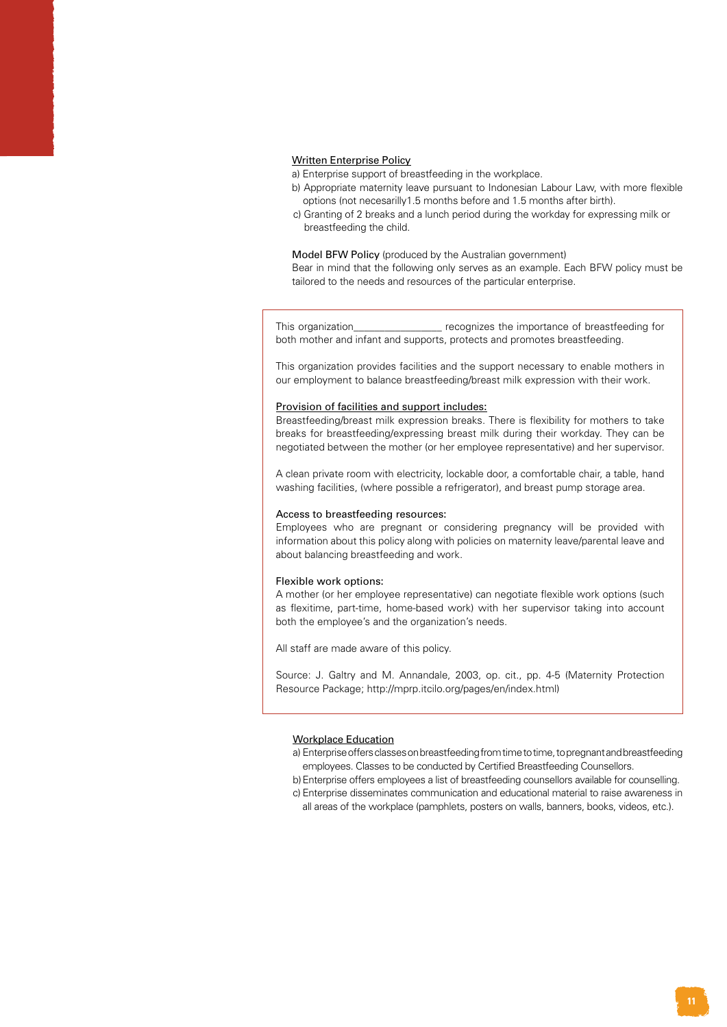#### Written Enterprise Policy

a) Enterprise support of breastfeeding in the workplace.

- b) Appropriate maternity leave pursuant to Indonesian Labour Law, with more flexible options (not necesarilly1.5 months before and 1.5 months after birth).
- c) Granting of 2 breaks and a lunch period during the workday for expressing milk or breastfeeding the child.

#### Model BFW Policy (produced by the Australian government)

Bear in mind that the following only serves as an example. Each BFW policy must be tailored to the needs and resources of the particular enterprise.

This organization\_\_\_\_\_\_\_\_\_\_\_\_\_\_\_\_\_ recognizes the importance of breastfeeding for both mother and infant and supports, protects and promotes breastfeeding.

This organization provides facilities and the support necessary to enable mothers in our employment to balance breastfeeding/breast milk expression with their work.

#### Provision of facilities and support includes:

Breastfeeding/breast milk expression breaks. There is flexibility for mothers to take breaks for breastfeeding/expressing breast milk during their workday. They can be negotiated between the mother (or her employee representative) and her supervisor.

A clean private room with electricity, lockable door, a comfortable chair, a table, hand washing facilities, (where possible a refrigerator), and breast pump storage area.

#### Access to breastfeeding resources:

Employees who are pregnant or considering pregnancy will be provided with information about this policy along with policies on maternity leave/parental leave and about balancing breastfeeding and work.

#### Flexible work options:

A mother (or her employee representative) can negotiate flexible work options (such as flexitime, part-time, home-based work) with her supervisor taking into account both the employee's and the organization's needs.

All staff are made aware of this policy.

Source: J. Galtry and M. Annandale, 2003, op. cit., pp. 4-5 (Maternity Protection Resource Package; http://mprp.itcilo.org/pages/en/index.html)

#### Workplace Education

- a) Enterprise offers classes on breastfeeding from time to time, to pregnant and breastfeeding employees. Classes to be conducted by Certified Breastfeeding Counsellors.
- b)Enterprise offers employees a list of breastfeeding counsellors available for counselling. c) Enterprise disseminates communication and educational material to raise awareness in
	- all areas of the workplace (pamphlets, posters on walls, banners, books, videos, etc.).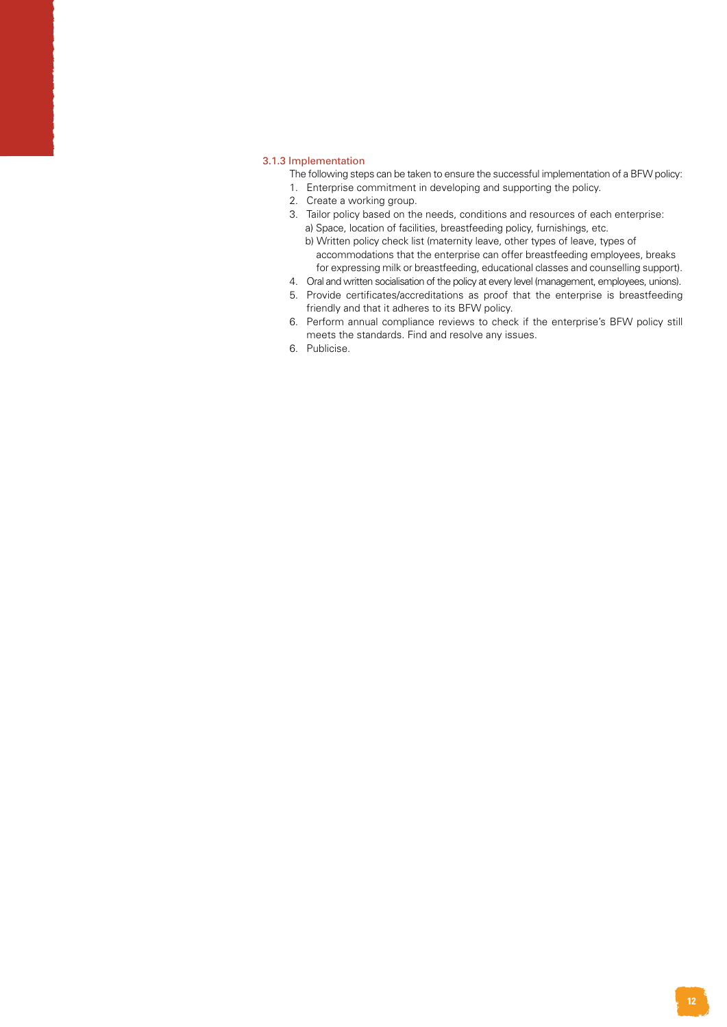#### 3.1.3 Implementation

The following steps can be taken to ensure the successful implementation of a BFW policy: 1. Enterprise commitment in developing and supporting the policy.

- 2. Create a working group.
- 3. Tailor policy based on the needs, conditions and resources of each enterprise: a) Space, location of facilities, breastfeeding policy, furnishings, etc.
	- b) Written policy check list (maternity leave, other types of leave, types of accommodations that the enterprise can offer breastfeeding employees, breaks for expressing milk or breastfeeding, educational classes and counselling support).
- 4. Oral and written socialisation of the policy at every level (management, employees, unions).
- 5. Provide certificates/accreditations as proof that the enterprise is breastfeeding friendly and that it adheres to its BFW policy.
- 6. Perform annual compliance reviews to check if the enterprise's BFW policy still meets the standards. Find and resolve any issues.
- 6. Publicise.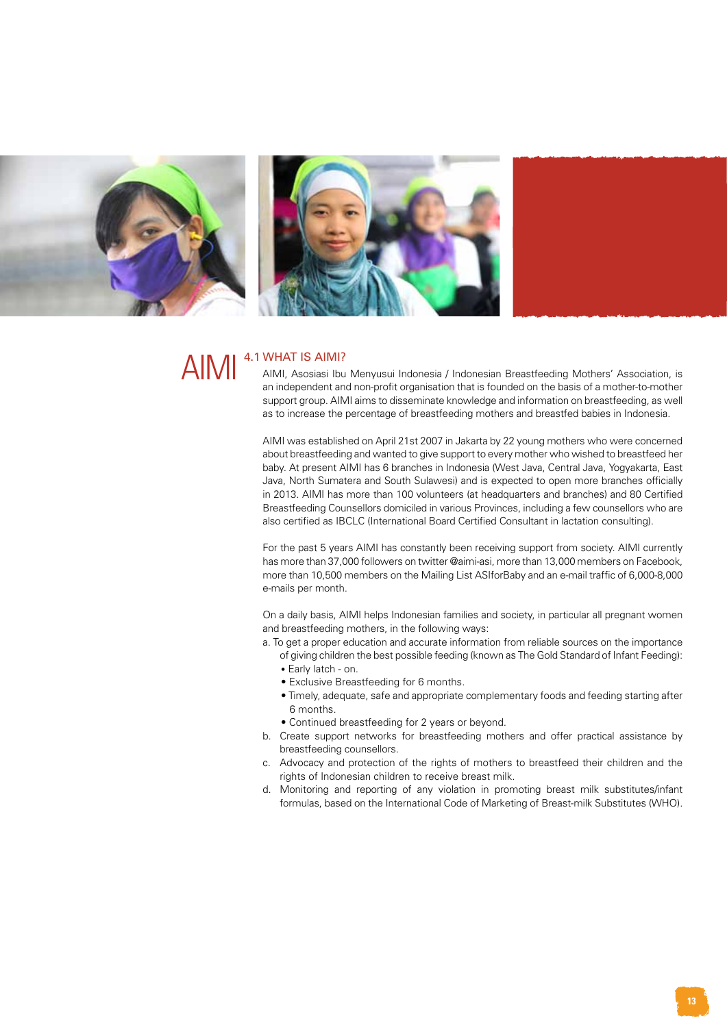



## $\text{AlM}$   $^{4.1 \text{ WHAT IS AIM1?}}$

AIMI, Asosiasi Ibu Menyusui Indonesia / Indonesian Breastfeeding Mothers' Association, is an independent and non-profit organisation that is founded on the basis of a mother-to-mother support group. AIMI aims to disseminate knowledge and information on breastfeeding, as well as to increase the percentage of breastfeeding mothers and breastfed babies in Indonesia.

AIMI was established on April 21st 2007 in Jakarta by 22 young mothers who were concerned about breastfeeding and wanted to give support to every mother who wished to breastfeed her baby. At present AIMI has 6 branches in Indonesia (West Java, Central Java, Yogyakarta, East Java, North Sumatera and South Sulawesi) and is expected to open more branches officially in 2013. AIMI has more than 100 volunteers (at headquarters and branches) and 80 Certified Breastfeeding Counsellors domiciled in various Provinces, including a few counsellors who are also certified as IBCLC (International Board Certified Consultant in lactation consulting).

For the past 5 years AIMI has constantly been receiving support from society. AIMI currently has more than 37,000 followers on twitter @aimi-asi, more than 13,000 members on Facebook, more than 10,500 members on the Mailing List ASIforBaby and an e-mail traffic of 6,000-8,000 e-mails per month.

On a daily basis, AIMI helps Indonesian families and society, in particular all pregnant women and breastfeeding mothers, in the following ways:

- a. To get a proper education and accurate information from reliable sources on the importance of giving children the best possible feeding (known as The Gold Standard of Infant Feeding):
	- Early latch on.
	- Exclusive Breastfeeding for 6 months.
	- Timely, adequate, safe and appropriate complementary foods and feeding starting after 6 months.
	- Continued breastfeeding for 2 years or beyond.
- b. Create support networks for breastfeeding mothers and offer practical assistance by breastfeeding counsellors.
- c. Advocacy and protection of the rights of mothers to breastfeed their children and the rights of Indonesian children to receive breast milk.
- d. Monitoring and reporting of any violation in promoting breast milk substitutes/infant formulas, based on the International Code of Marketing of Breast-milk Substitutes (WHO).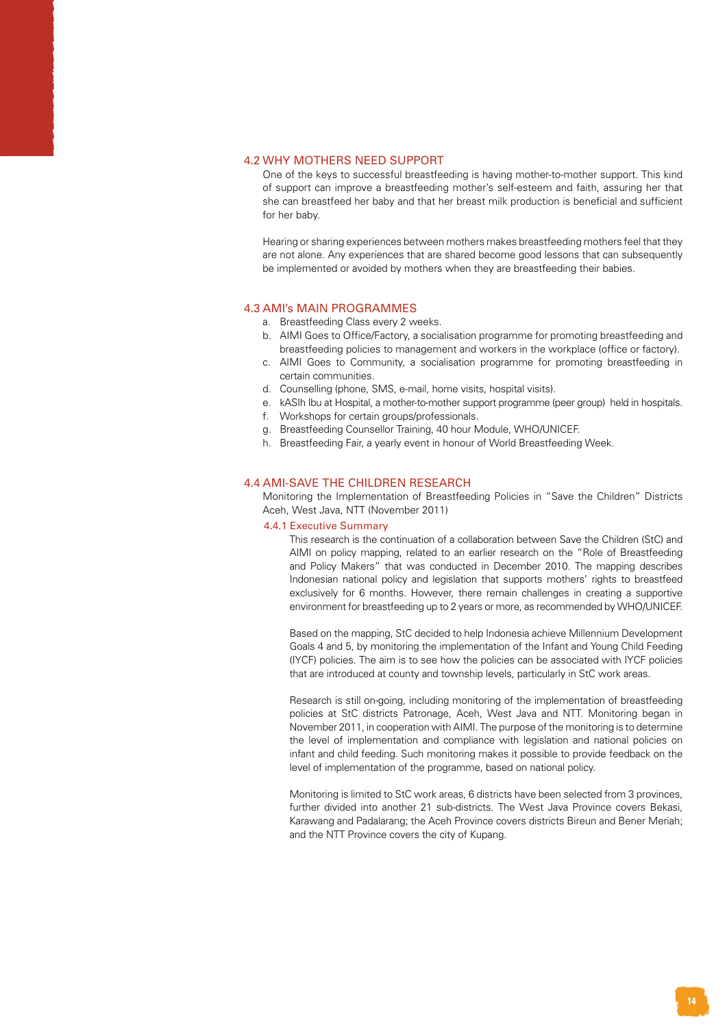#### 4.2 WHY MOTHERS NEED SUPPORT

One of the keys to successful breastfeeding is having mother-to-mother support. This kind of support can improve a breastfeeding mother's self-esteem and faith, assuring her that she can breastfeed her baby and that her breast milk production is beneficial and sufficient for her baby.

Hearing or sharing experiences between mothers makes breastfeeding mothers feel that they are not alone. Any experiences that are shared become good lessons that can subsequently be implemented or avoided by mothers when they are breastfeeding their babies.

#### 4.3 AMI's MAIN PROGRAMMES

- a. Breastfeeding Class every 2 weeks.
- b. AIMI Goes to Office/Factory, a socialisation programme for promoting breastfeeding and breastfeeding policies to management and workers in the workplace (office or factory).
- c. AIMI Goes to Community, a socialisation programme for promoting breastfeeding in certain communities.
- d. Counselling (phone, SMS, e-mail, home visits, hospital visits).
- e. kASIh Ibu at Hospital, a mother-to-mother support programme (peer group) held in hospitals.
- f. Workshops for certain groups/professionals.
- g. Breastfeeding Counsellor Training, 40 hour Module, WHO/UNICEF.
- h. Breastfeeding Fair, a yearly event in honour of World Breastfeeding Week.

#### 4.4 AMI-SAVE THE CHILDREN RESEARCH

Monitoring the Implementation of Breastfeeding Policies in "Save the Children" Districts Aceh, West Java, NTT (November 2011)

#### 4.4.1 Executive Summary

This research is the continuation of a collaboration between Save the Children (StC) and AIMI on policy mapping, related to an earlier research on the "Role of Breastfeeding and Policy Makers" that was conducted in December 2010. The mapping describes Indonesian national policy and legislation that supports mothers' rights to breastfeed exclusively for 6 months. However, there remain challenges in creating a supportive environment for breastfeeding up to 2 years or more, as recommended by WHO/UNICEF.

Based on the mapping, StC decided to help Indonesia achieve Millennium Development Goals 4 and 5, by monitoring the implementation of the Infant and Young Child Feeding (IYCF) policies. The aim is to see how the policies can be associated with IYCF policies that are introduced at county and township levels, particularly in StC work areas.

Research is still on-going, including monitoring of the implementation of breastfeeding policies at StC districts Patronage, Aceh, West Java and NTT. Monitoring began in November 2011, in cooperation with AIMI. The purpose of the monitoring is to determine the level of implementation and compliance with legislation and national policies on infant and child feeding. Such monitoring makes it possible to provide feedback on the level of implementation of the programme, based on national policy.

Monitoring is limited to StC work areas, 6 districts have been selected from 3 provinces, further divided into another 21 sub-districts. The West Java Province covers Bekasi, Karawang and Padalarang; the Aceh Province covers districts Bireun and Bener Meriah; and the NTT Province covers the city of Kupang.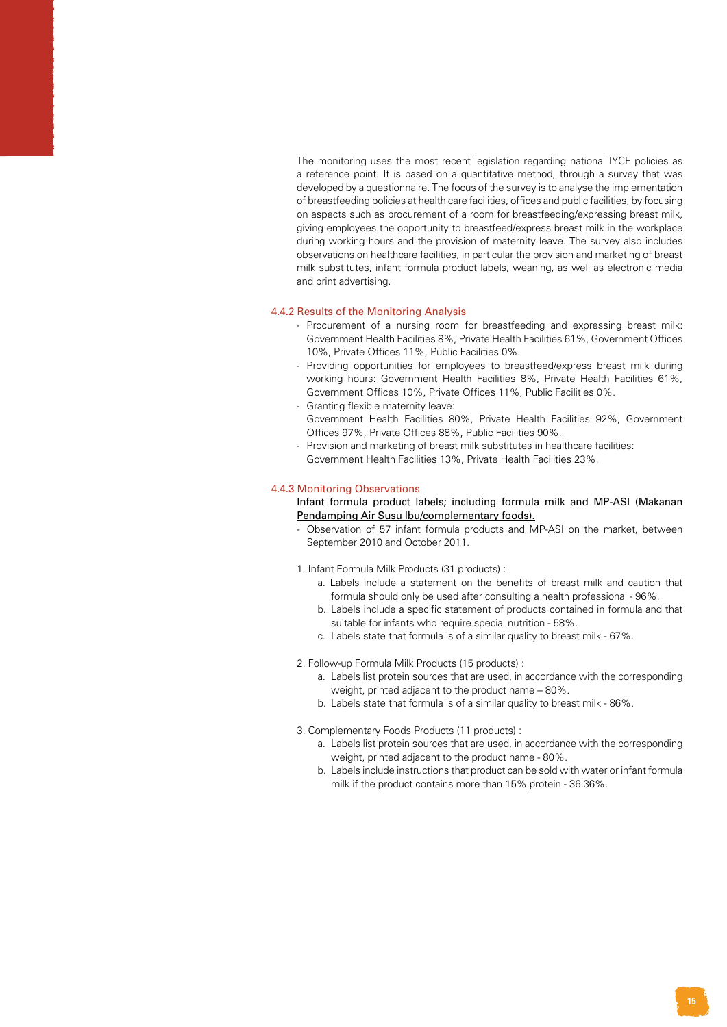The monitoring uses the most recent legislation regarding national IYCF policies as a reference point. It is based on a quantitative method, through a survey that was developed by a questionnaire. The focus of the survey is to analyse the implementation of breastfeeding policies at health care facilities, offices and public facilities, by focusing on aspects such as procurement of a room for breastfeeding/expressing breast milk, giving employees the opportunity to breastfeed/express breast milk in the workplace during working hours and the provision of maternity leave. The survey also includes observations on healthcare facilities, in particular the provision and marketing of breast milk substitutes, infant formula product labels, weaning, as well as electronic media and print advertising.

#### 4.4.2 Results of the Monitoring Analysis

- Procurement of a nursing room for breastfeeding and expressing breast milk: Government Health Facilities 8%, Private Health Facilities 61%, Government Offices 10%, Private Offices 11%, Public Facilities 0%.
- Providing opportunities for employees to breastfeed/express breast milk during working hours: Government Health Facilities 8%, Private Health Facilities 61%, Government Offices 10%, Private Offices 11%, Public Facilities 0%.
- Granting flexible maternity leave: Government Health Facilities 80%, Private Health Facilities 92%, Government Offices 97%, Private Offices 88%, Public Facilities 90%.
- Provision and marketing of breast milk substitutes in healthcare facilities: Government Health Facilities 13%, Private Health Facilities 23%.

#### 4.4.3 Monitoring Observations

#### Infant formula product labels; including formula milk and MP-ASI (Makanan Pendamping Air Susu Ibu/complementary foods).

- Observation of 57 infant formula products and MP-ASI on the market, between September 2010 and October 2011.
- 1. Infant Formula Milk Products (31 products) :
	- a. Labels include a statement on the benefits of breast milk and caution that formula should only be used after consulting a health professional - 96%.
	- b. Labels include a specific statement of products contained in formula and that suitable for infants who require special nutrition - 58%.
	- c. Labels state that formula is of a similar quality to breast milk 67%.

#### 2. Follow-up Formula Milk Products (15 products) :

- a. Labels list protein sources that are used, in accordance with the corresponding weight, printed adjacent to the product name – 80%.
- b. Labels state that formula is of a similar quality to breast milk 86%.

#### 3. Complementary Foods Products (11 products) :

- a. Labels list protein sources that are used, in accordance with the corresponding weight, printed adjacent to the product name - 80%.
- b. Labels include instructions that product can be sold with water or infant formula milk if the product contains more than 15% protein - 36.36%.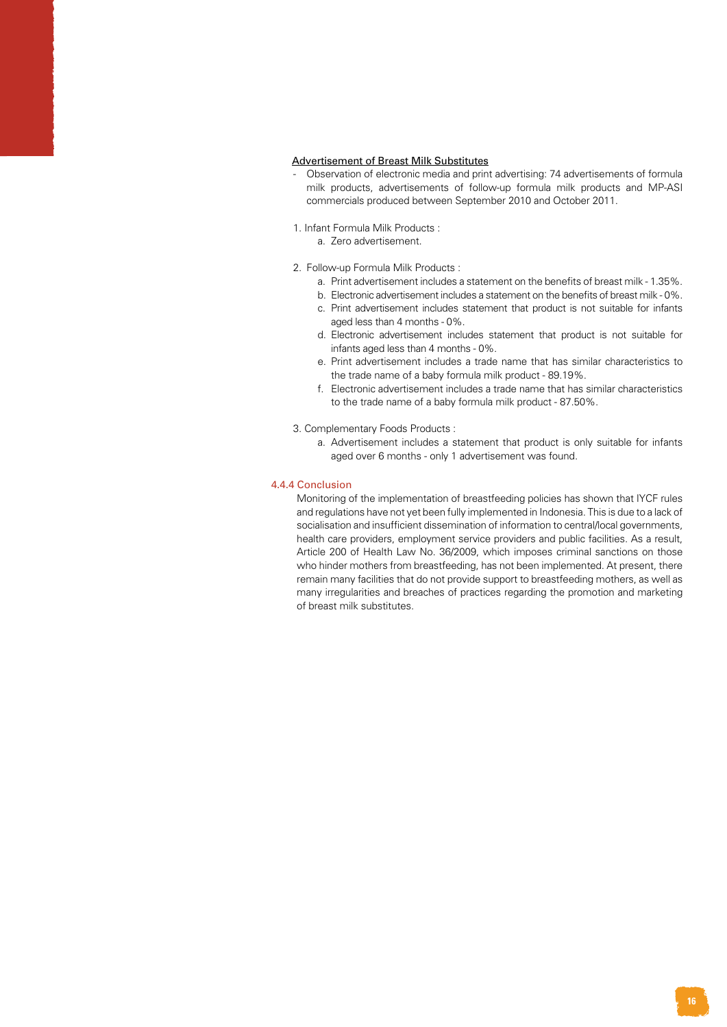#### Advertisement of Breast Milk Substitutes

- Observation of electronic media and print advertising: 74 advertisements of formula milk products, advertisements of follow-up formula milk products and MP-ASI commercials produced between September 2010 and October 2011.
- 1. Infant Formula Milk Products :
	- a. Zero advertisement.
- 2. Follow-up Formula Milk Products :
	- a. Print advertisement includes a statement on the benefits of breast milk 1.35%.
	- b. Electronic advertisement includes a statement on the benefits of breast milk 0%.
	- c. Print advertisement includes statement that product is not suitable for infants aged less than 4 months - 0%.
	- d. Electronic advertisement includes statement that product is not suitable for infants aged less than 4 months - 0%.
	- e. Print advertisement includes a trade name that has similar characteristics to the trade name of a baby formula milk product - 89.19%.
	- f. Electronic advertisement includes a trade name that has similar characteristics to the trade name of a baby formula milk product - 87.50%.
- 3. Complementary Foods Products :
	- a. Advertisement includes a statement that product is only suitable for infants aged over 6 months - only 1 advertisement was found.

#### 4.4.4 Conclusion

Monitoring of the implementation of breastfeeding policies has shown that IYCF rules and regulations have not yet been fully implemented in Indonesia. This is due to a lack of socialisation and insufficient dissemination of information to central/local governments, health care providers, employment service providers and public facilities. As a result, Article 200 of Health Law No. 36/2009, which imposes criminal sanctions on those who hinder mothers from breastfeeding, has not been implemented. At present, there remain many facilities that do not provide support to breastfeeding mothers, as well as many irregularities and breaches of practices regarding the promotion and marketing of breast milk substitutes.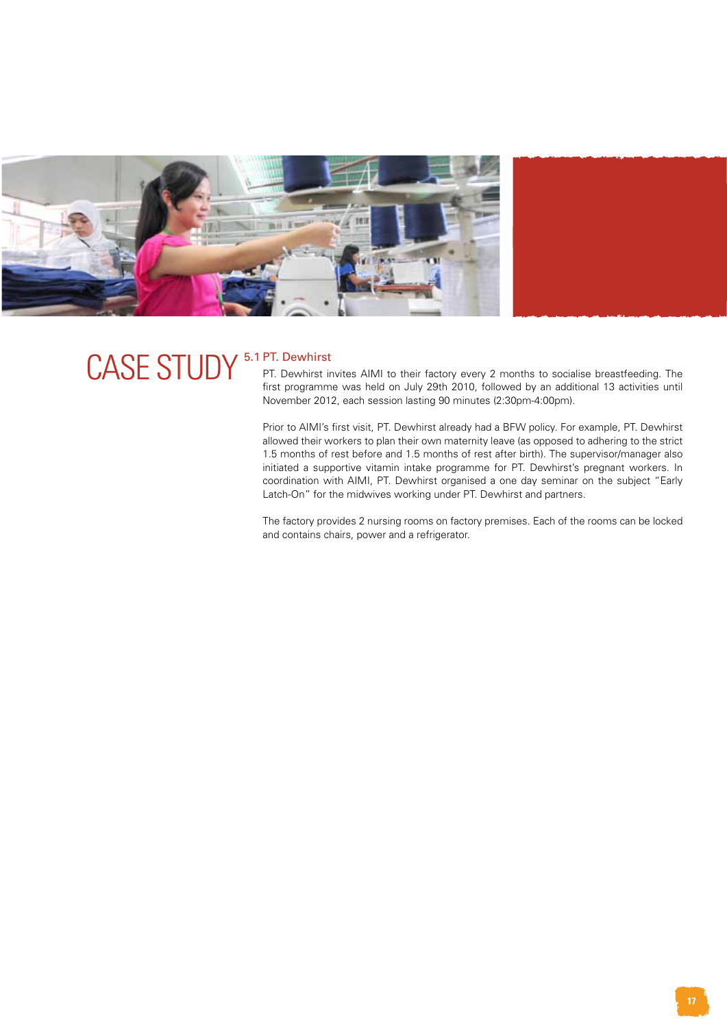

## CASE STUDY 5.1 PT. Dewhirst ii

PT. Dewhirst invites AIMI to their factory every 2 months to socialise breastfeeding. The first programme was held on July 29th 2010, followed by an additional 13 activities until November 2012, each session lasting 90 minutes (2:30pm-4:00pm).

Prior to AIMI's first visit, PT. Dewhirst already had a BFW policy. For example, PT. Dewhirst allowed their workers to plan their own maternity leave (as opposed to adhering to the strict 1.5 months of rest before and 1.5 months of rest after birth). The supervisor/manager also initiated a supportive vitamin intake programme for PT. Dewhirst's pregnant workers. In coordination with AIMI, PT. Dewhirst organised a one day seminar on the subject "Early Latch-On" for the midwives working under PT. Dewhirst and partners.

The factory provides 2 nursing rooms on factory premises. Each of the rooms can be locked and contains chairs, power and a refrigerator.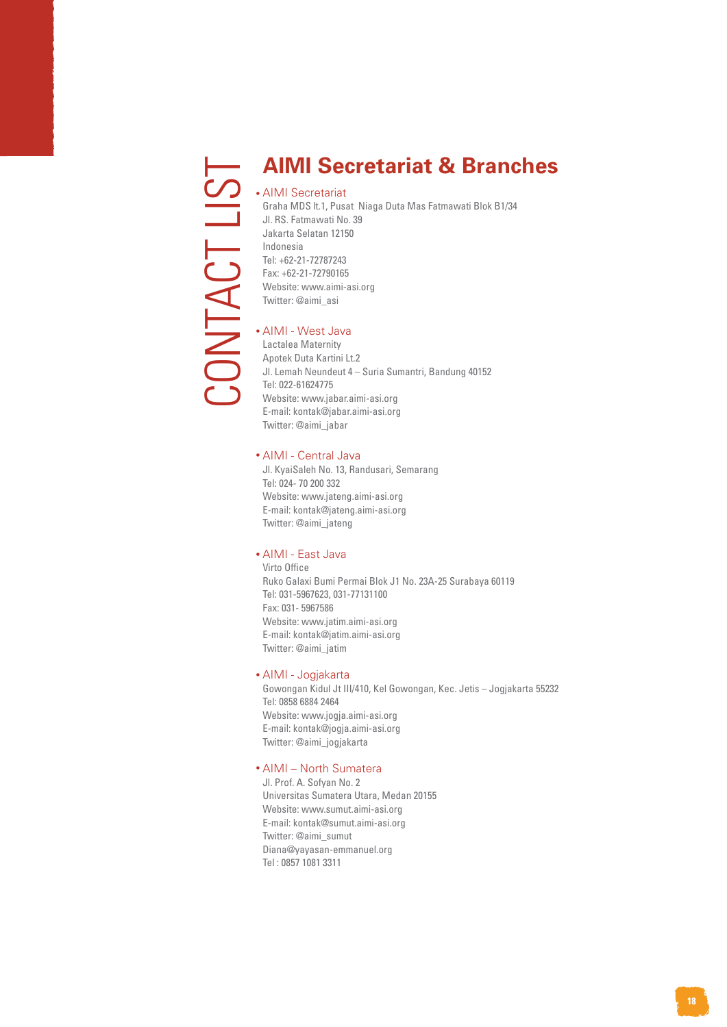# CONTACT LIS

#### **AIMI Secretariat & Branches**

#### AIMI Secretariat

Graha MDS lt.1, Pusat Niaga Duta Mas Fatmawati Blok B1/34 Jl. RS. Fatmawati No. 39 Jakarta Selatan 12150 Indonesia Tel: +62-21-72787243 Fax: +62-21-72790165 Website: www.aimi-asi.org Twitter: @aimi\_asi

#### AIMI - West Java •

Lactalea Maternity Apotek Duta Kartini Lt.2 Jl. Lemah Neundeut 4 – Suria Sumantri, Bandung 40152 Tel: 022-61624775 Website: www.jabar.aimi-asi.org E-mail: kontak@jabar.aimi-asi.org Twitter: @aimi\_jabar

#### AIMI - Central Java •

Jl. KyaiSaleh No. 13, Randusari, Semarang Tel: 024- 70 200 332 Website: www.jateng.aimi-asi.org E-mail: kontak@jateng.aimi-asi.org Twitter: @aimi\_jateng

#### AIMI - East Java •

Virto Office Ruko Galaxi Bumi Permai Blok J1 No. 23A-25 Surabaya 60119 Tel: 031-5967623, 031-77131100 Fax: 031- 5967586 Website: www.jatim.aimi-asi.org E-mail: kontak@jatim.aimi-asi.org Twitter: @aimi\_jatim

#### AIMI - Jogjakarta •

Gowongan Kidul Jt III/410, Kel Gowongan, Kec. Jetis – Jogjakarta 55232 Tel: 0858 6884 2464 Website: www.jogia.aimi-asi.org E-mail: kontak@jogja.aimi-asi.org Twitter: @aimi\_jogjakarta

#### AIMI – North Sumatera •

Jl. Prof. A. Sofyan No. 2 Universitas Sumatera Utara, Medan 20155 Website: www.sumut.aimi-asi.org E-mail: kontak@sumut.aimi-asi.org Twitter: @aimi\_sumut Diana@yayasan-emmanuel.org Tel : 0857 1081 3311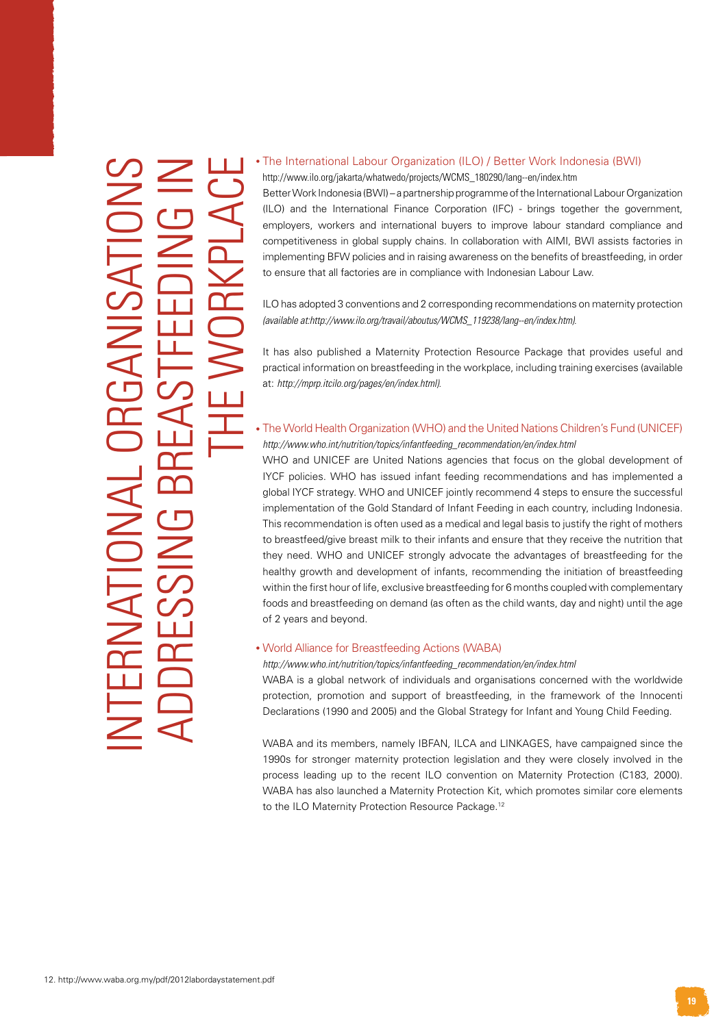INTERNATIONAL ORGANISATIONS ADDRESSING BREASTFEEDING IN THE WORKPLACE

#### The International Labour Organization (ILO) / Better Work Indonesia (BWI) http://www.ilo.org/jakarta/whatwedo/projects/WCMS\_180290/lang--en/index.htm

Better Work Indonesia (BWI) – a partnership programme of the International Labour Organization (ILO) and the International Finance Corporation (IFC) - brings together the government, employers, workers and international buyers to improve labour standard compliance and competitiveness in global supply chains. In collaboration with AIMI, BWI assists factories in implementing BFW policies and in raising awareness on the benefits of breastfeeding, in order to ensure that all factories are in compliance with Indonesian Labour Law.

ILO has adopted 3 conventions and 2 corresponding recommendations on maternity protection *(available at:http://www.ilo.org/travail/aboutus/WCMS\_119238/lang--en/index.htm).*

It has also published a Maternity Protection Resource Package that provides useful and practical information on breastfeeding in the workplace, including training exercises (available at: *http://mprp.itcilo.org/pages/en/index.html).*

#### • The World Health Organization (WHO) and the United Nations Children's Fund (UNICEF) *http://www.who.int/nutrition/topics/infantfeeding\_recommendation/en/index.html*

WHO and UNICEF are United Nations agencies that focus on the global development of IYCF policies. WHO has issued infant feeding recommendations and has implemented a global IYCF strategy. WHO and UNICEF jointly recommend 4 steps to ensure the successful implementation of the Gold Standard of Infant Feeding in each country, including Indonesia. This recommendation is often used as a medical and legal basis to justify the right of mothers to breastfeed/give breast milk to their infants and ensure that they receive the nutrition that they need. WHO and UNICEF strongly advocate the advantages of breastfeeding for the healthy growth and development of infants, recommending the initiation of breastfeeding within the first hour of life, exclusive breastfeeding for 6 months coupled with complementary foods and breastfeeding on demand (as often as the child wants, day and night) until the age of 2 years and beyond.

#### • World Alliance for Breastfeeding Actions (WABA)

#### *http://www.who.int/nutrition/topics/infantfeeding\_recommendation/en/index.html*

WABA is a global network of individuals and organisations concerned with the worldwide protection, promotion and support of breastfeeding, in the framework of the Innocenti Declarations (1990 and 2005) and the Global Strategy for Infant and Young Child Feeding.

WABA and its members, namely IBFAN, ILCA and LINKAGES, have campaigned since the 1990s for stronger maternity protection legislation and they were closely involved in the process leading up to the recent ILO convention on Maternity Protection (C183, 2000). WABA has also launched a Maternity Protection Kit, which promotes similar core elements to the ILO Maternity Protection Resource Package.<sup>12</sup>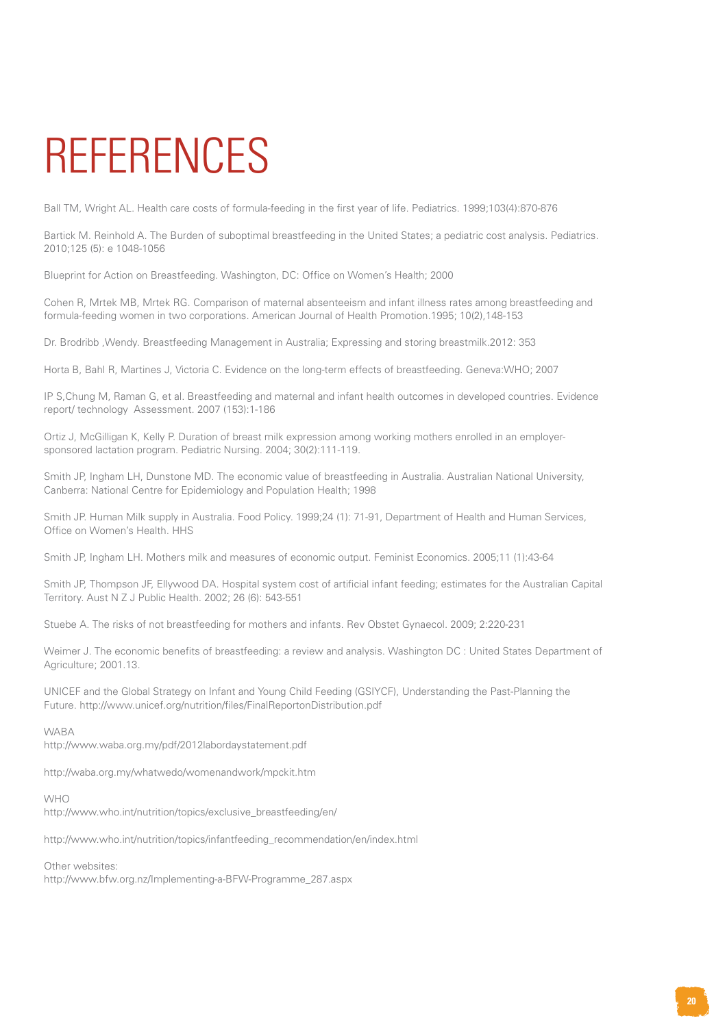# REFERENCES

Ball TM, Wright AL. Health care costs of formula-feeding in the first year of life. Pediatrics. 1999;103(4):870-876

Bartick M. Reinhold A. The Burden of suboptimal breastfeeding in the United States; a pediatric cost analysis. Pediatrics. 2010;125 (5): e 1048-1056

Blueprint for Action on Breastfeeding. Washington, DC: Office on Women's Health; 2000

Cohen R, Mrtek MB, Mrtek RG. Comparison of maternal absenteeism and infant illness rates among breastfeeding and formula-feeding women in two corporations. American Journal of Health Promotion.1995; 10(2),148-153

Dr. Brodribb ,Wendy. Breastfeeding Management in Australia; Expressing and storing breastmilk.2012: 353

Horta B, Bahl R, Martines J, Victoria C. Evidence on the long-term effects of breastfeeding. Geneva:WHO; 2007

IP S,Chung M, Raman G, et al. Breastfeeding and maternal and infant health outcomes in developed countries. Evidence report/ technology Assessment. 2007 (153):1-186

Ortiz J, McGilligan K, Kelly P. Duration of breast milk expression among working mothers enrolled in an employersponsored lactation program. Pediatric Nursing. 2004; 30(2):111-119.

Smith JP, Ingham LH, Dunstone MD. The economic value of breastfeeding in Australia. Australian National University, Canberra: National Centre for Epidemiology and Population Health; 1998

Smith JP. Human Milk supply in Australia. Food Policy. 1999;24 (1): 71-91, Department of Health and Human Services, Office on Women's Health. HHS

Smith JP, Ingham LH. Mothers milk and measures of economic output. Feminist Economics. 2005;11 (1):43-64

Smith JP, Thompson JF, Ellywood DA. Hospital system cost of artificial infant feeding; estimates for the Australian Capital Territory. Aust N Z J Public Health. 2002; 26 (6): 543-551

Stuebe A. The risks of not breastfeeding for mothers and infants. Rev Obstet Gynaecol. 2009; 2:220-231

Weimer J. The economic benefits of breastfeeding: a review and analysis. Washington DC : United States Department of Agriculture; 2001.13.

UNICEF and the Global Strategy on Infant and Young Child Feeding (GSIYCF), Understanding the Past-Planning the Future. http://www.unicef.org/nutrition/files/FinalReportonDistribution.pdf

WABA

http://www.waba.org.my/pdf/2012labordaystatement.pdf

http://waba.org.my/whatwedo/womenandwork/mpckit.htm

WHO

http://www.who.int/nutrition/topics/exclusive\_breastfeeding/en/

http://www.who.int/nutrition/topics/infantfeeding\_recommendation/en/index.html

Other websites: http://www.bfw.org.nz/Implementing-a-BFW-Programme\_287.aspx